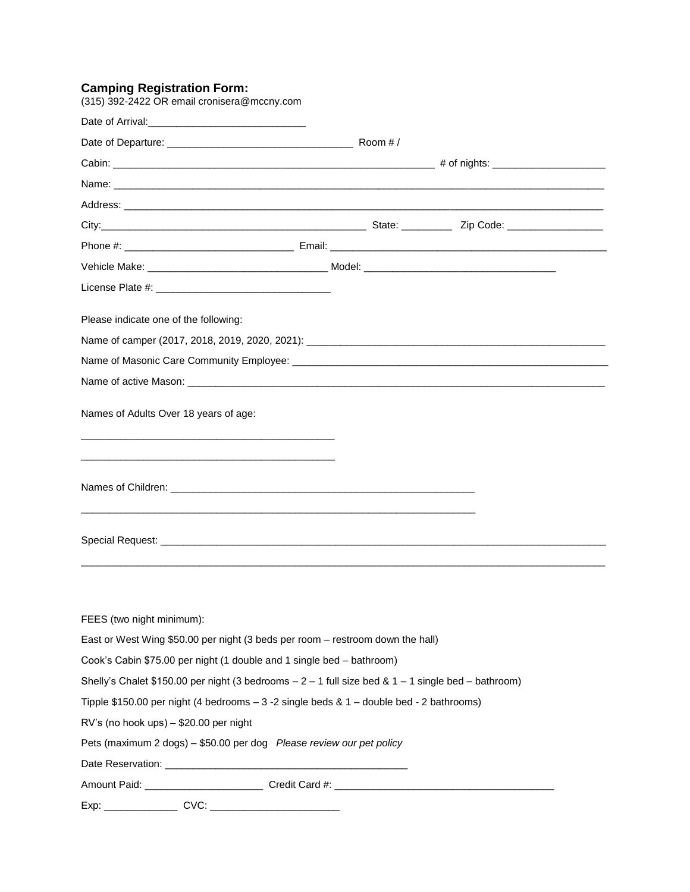#### **Camping Registration Form:**

| (315) 392-2422 OR email cronisera@mccny.com                                                          |  |
|------------------------------------------------------------------------------------------------------|--|
|                                                                                                      |  |
|                                                                                                      |  |
|                                                                                                      |  |
|                                                                                                      |  |
|                                                                                                      |  |
|                                                                                                      |  |
|                                                                                                      |  |
|                                                                                                      |  |
|                                                                                                      |  |
| Please indicate one of the following:                                                                |  |
|                                                                                                      |  |
|                                                                                                      |  |
|                                                                                                      |  |
| Names of Adults Over 18 years of age:                                                                |  |
|                                                                                                      |  |
|                                                                                                      |  |
|                                                                                                      |  |
| FEES (two night minimum):                                                                            |  |
| East or West Wing \$50.00 per night (3 beds per room – restroom down the hall)                       |  |
| Cook's Cabin \$75.00 per night (1 double and 1 single bed - bathroom)                                |  |
| Shelly's Chalet \$150.00 per night (3 bedrooms $-2 - 1$ full size bed & 1 - 1 single bed - bathroom) |  |
| Tipple \$150.00 per night (4 bedrooms - 3 -2 single beds & 1 - double bed - 2 bathrooms)             |  |
| RV's (no hook ups) - \$20.00 per night                                                               |  |
| Pets (maximum 2 dogs) - \$50.00 per dog Please review our pet policy                                 |  |
|                                                                                                      |  |
|                                                                                                      |  |
|                                                                                                      |  |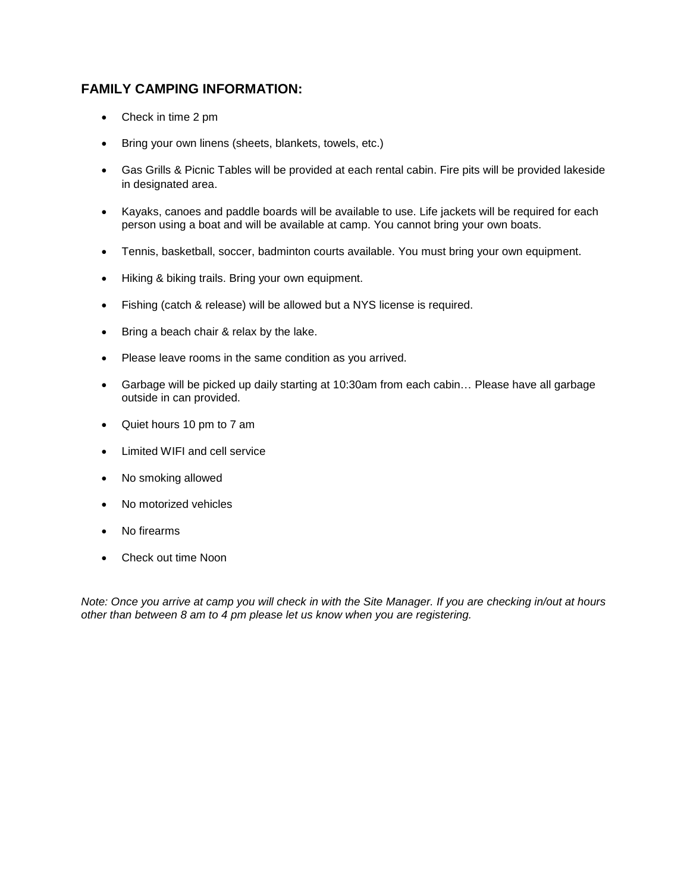# **FAMILY CAMPING INFORMATION:**

- Check in time 2 pm
- **Bring your own linens (sheets, blankets, towels, etc.)**
- Gas Grills & Picnic Tables will be provided at each rental cabin. Fire pits will be provided lakeside in designated area.
- Kayaks, canoes and paddle boards will be available to use. Life jackets will be required for each person using a boat and will be available at camp. You cannot bring your own boats.
- Tennis, basketball, soccer, badminton courts available. You must bring your own equipment.
- Hiking & biking trails. Bring your own equipment.
- Fishing (catch & release) will be allowed but a NYS license is required.
- Bring a beach chair & relax by the lake.
- Please leave rooms in the same condition as you arrived.
- Garbage will be picked up daily starting at 10:30am from each cabin… Please have all garbage outside in can provided.
- Quiet hours 10 pm to 7 am
- Limited WIFI and cell service
- No smoking allowed
- No motorized vehicles
- No firearms
- Check out time Noon

*Note: Once you arrive at camp you will check in with the Site Manager. If you are checking in/out at hours other than between 8 am to 4 pm please let us know when you are registering.*